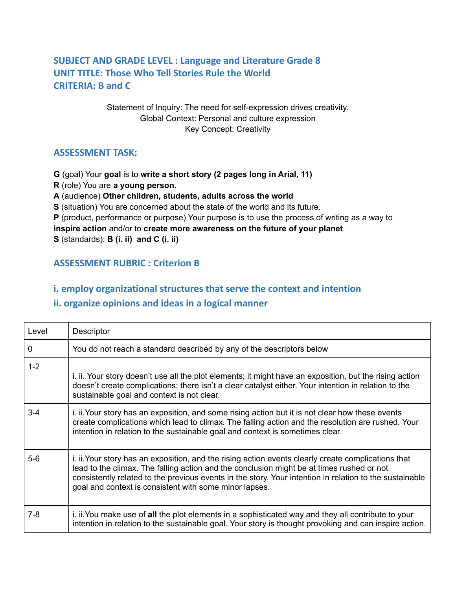# **SUBJECT AND GRADE LEVEL : Language and Literature Grade 8 UNIT TITLE: Those Who Tell Stories Rule the World CRITERIA: B and C**

Statement of Inquiry: The need for self-expression drives creativity. Global Context: Personal and culture expression Key Concept: Creativity

#### **ASSESSMENT TASK:**

**G** (goal) Your **goal** is to **write a short story (2 pages long in Arial, 11)**

**R** (role) You are **a young person**.

**A** (audience) **Other children, students, adults across the world**

**S** (situation) You are concerned about the state of the world and its future.

**P** (product, performance or purpose) Your purpose is to use the process of writing as a way to

**inspire action** and/or to **create more awareness on the future of your planet**.

**S** (standards): **B (i. ii) and C (i. ii)**

## **ASSESSMENT RUBRIC : Criterion B**

#### **i. employ organizational structures that serve the context and intention**

### **ii. organize opinions and ideas in a logical manner**

| Level   | Descriptor                                                                                                                                                                                                                                                                                                                                                            |
|---------|-----------------------------------------------------------------------------------------------------------------------------------------------------------------------------------------------------------------------------------------------------------------------------------------------------------------------------------------------------------------------|
| 0       | You do not reach a standard described by any of the descriptors below                                                                                                                                                                                                                                                                                                 |
| $1 - 2$ | i. ii. Your story doesn't use all the plot elements; it might have an exposition, but the rising action<br>doesn't create complications; there isn't a clear catalyst either. Your intention in relation to the<br>sustainable goal and context is not clear.                                                                                                         |
| $3 - 4$ | i. ii. Your story has an exposition, and some rising action but it is not clear how these events<br>create complications which lead to climax. The falling action and the resolution are rushed. Your<br>intention in relation to the sustainable goal and context is sometimes clear.                                                                                |
| $5-6$   | i. ii. Your story has an exposition, and the rising action events clearly create complications that<br>lead to the climax. The falling action and the conclusion might be at times rushed or not<br>consistently related to the previous events in the story. Your intention in relation to the sustainable<br>goal and context is consistent with some minor lapses. |
| 7-8     | i. ii. You make use of all the plot elements in a sophisticated way and they all contribute to your<br>intention in relation to the sustainable goal. Your story is thought provoking and can inspire action.                                                                                                                                                         |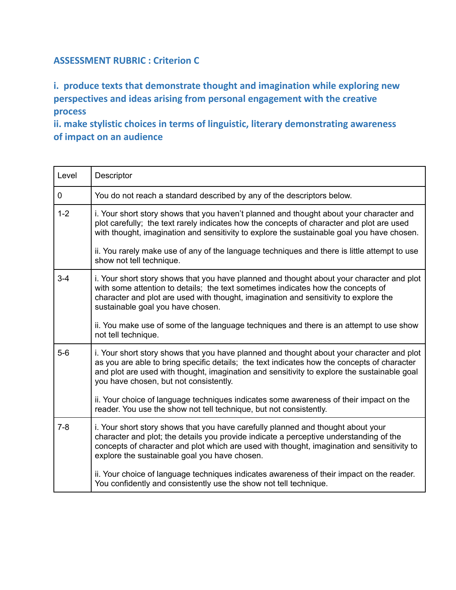#### **ASSESSMENT RUBRIC : Criterion C**

**i. produce texts that demonstrate thought and imagination while exploring new perspectives and ideas arising from personal engagement with the creative process**

**ii. make stylistic choices in terms of linguistic, literary demonstrating awareness of impact on an audience**

| Level       | Descriptor                                                                                                                                                                                                                                                                                                                                                                         |
|-------------|------------------------------------------------------------------------------------------------------------------------------------------------------------------------------------------------------------------------------------------------------------------------------------------------------------------------------------------------------------------------------------|
| $\mathbf 0$ | You do not reach a standard described by any of the descriptors below.                                                                                                                                                                                                                                                                                                             |
| $1 - 2$     | i. Your short story shows that you haven't planned and thought about your character and<br>plot carefully; the text rarely indicates how the concepts of character and plot are used<br>with thought, imagination and sensitivity to explore the sustainable goal you have chosen.<br>ii. You rarely make use of any of the language techniques and there is little attempt to use |
|             | show not tell technique.                                                                                                                                                                                                                                                                                                                                                           |
| $3 - 4$     | i. Your short story shows that you have planned and thought about your character and plot<br>with some attention to details; the text sometimes indicates how the concepts of<br>character and plot are used with thought, imagination and sensitivity to explore the<br>sustainable goal you have chosen.                                                                         |
|             | ii. You make use of some of the language techniques and there is an attempt to use show<br>not tell technique.                                                                                                                                                                                                                                                                     |
| $5-6$       | i. Your short story shows that you have planned and thought about your character and plot<br>as you are able to bring specific details; the text indicates how the concepts of character<br>and plot are used with thought, imagination and sensitivity to explore the sustainable goal<br>you have chosen, but not consistently.                                                  |
|             | ii. Your choice of language techniques indicates some awareness of their impact on the<br>reader. You use the show not tell technique, but not consistently.                                                                                                                                                                                                                       |
| $7 - 8$     | i. Your short story shows that you have carefully planned and thought about your<br>character and plot; the details you provide indicate a perceptive understanding of the<br>concepts of character and plot which are used with thought, imagination and sensitivity to<br>explore the sustainable goal you have chosen.                                                          |
|             | ii. Your choice of language techniques indicates awareness of their impact on the reader.<br>You confidently and consistently use the show not tell technique.                                                                                                                                                                                                                     |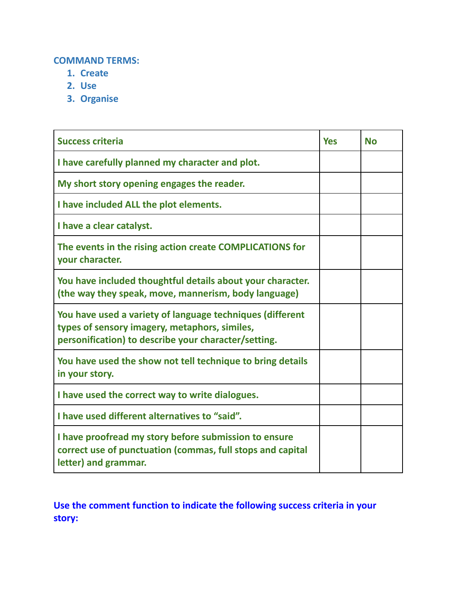#### **COMMAND TERMS:**

- **1. Create**
- **2. Use**
- **3. Organise**

| <b>Success criteria</b>                                                                                                                                            |  | <b>No</b> |
|--------------------------------------------------------------------------------------------------------------------------------------------------------------------|--|-----------|
| I have carefully planned my character and plot.                                                                                                                    |  |           |
| My short story opening engages the reader.                                                                                                                         |  |           |
| I have included ALL the plot elements.                                                                                                                             |  |           |
| I have a clear catalyst.                                                                                                                                           |  |           |
| The events in the rising action create COMPLICATIONS for<br>your character.                                                                                        |  |           |
| You have included thoughtful details about your character.<br>(the way they speak, move, mannerism, body language)                                                 |  |           |
| You have used a variety of language techniques (different<br>types of sensory imagery, metaphors, similes,<br>personification) to describe your character/setting. |  |           |
| You have used the show not tell technique to bring details<br>in your story.                                                                                       |  |           |
| I have used the correct way to write dialogues.                                                                                                                    |  |           |
| I have used different alternatives to "said".                                                                                                                      |  |           |
| I have proofread my story before submission to ensure<br>correct use of punctuation (commas, full stops and capital<br>letter) and grammar.                        |  |           |

**Use the comment function to indicate the following success criteria in your story:**